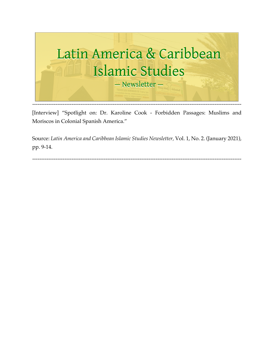

[Interview] "Spotlight on: Dr. Karoline Cook - Forbidden Passages: Muslims and Moriscos in Colonial Spanish America."

Source: *Latin America and Caribbean Islamic Studies Newsletter,* Vol. 1, No. 2. (January 2021), pp. 9-14.

---------------------------------------------------------------------------------------------------------------------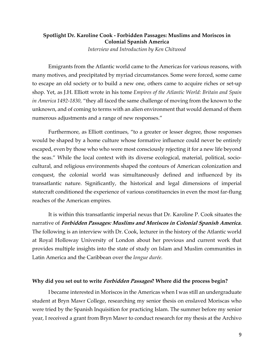## **Spotlight Dr. Karoline Cook - Forbidden Passages: Muslims and Moriscos in Colonial Spanish America** *Interview and Introduction by Ken Chitwood*

Emigrants from the Atlantic world came to the Americas for various reasons, with many motives, and precipitated by myriad circumstances. Some were forced, some came to escape an old society or to build a new one, others came to acquire riches or set-up shop. Yet, as J.H. Elliott wrote in his tome *Empires of the Atlantic World: Britain and Spain in America 1492-1830,* "they all faced the same challenge of moving from the known to the unknown, and of coming to terms with an alien environment that would demand of them numerous adjustments and a range of new responses."

Furthermore, as Elliott continues, "to a greater or lesser degree, those responses would be shaped by a home culture whose formative influence could never be entirely escaped, even by those who who were most consciously rejecting it for a new life beyond the seas." While the local context with its diverse ecological, material, political, sociocultural, and religious environments shaped the contours of American colonization and conquest, the colonial world was simultaneously defined and influenced by its transatlantic nature. Significantly, the historical and legal dimensions of imperial statecraft conditioned the experience of various constituencies in even the most far-flung reaches of the American empires.

It is within this transatlantic imperial nexus that Dr. Karoline P. Cook situates the narrative of **Forbidden Passages: Muslims and Moriscos in Colonial Spanish America.**  The following is an interview with Dr. Cook, lecturer in the history of the Atlantic world at Royal Holloway University of London about her previous and current work that provides multiple insights into the state of study on Islam and Muslim communities in Latin America and the Caribbean over the *longue durée.* 

#### **Why did you set out to write Forbidden Passages? Where did the process begin?**

I became interested in Moriscos in the Americas when I was still an undergraduate student at Bryn Mawr College, researching my senior thesis on enslaved Moriscas who were tried by the Spanish Inquisition for practicing Islam. The summer before my senior year, I received a grant from Bryn Mawr to conduct research for my thesis at the Archivo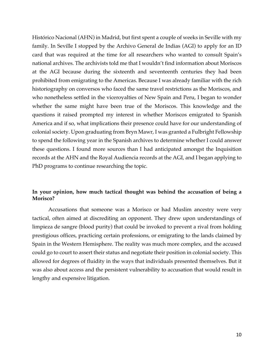Histórico Nacional (AHN) in Madrid, but first spent a couple of weeks in Seville with my family. In Seville I stopped by the Archivo General de Indias (AGI) to apply for an ID card that was required at the time for all researchers who wanted to consult Spain's national archives. The archivists told me that I wouldn't find information about Moriscos at the AGI because during the sixteenth and seventeenth centuries they had been prohibited from emigrating to the Americas. Because I was already familiar with the rich historiography on conversos who faced the same travel restrictions as the Moriscos, and who nonetheless settled in the viceroyalties of New Spain and Peru, I began to wonder whether the same might have been true of the Moriscos. This knowledge and the questions it raised prompted my interest in whether Moriscos emigrated to Spanish America and if so, what implications their presence could have for our understanding of colonial society. Upon graduating from Bryn Mawr, I was granted a Fulbright Fellowship to spend the following year in the Spanish archives to determine whether I could answer these questions. I found more sources than I had anticipated amongst the Inquisition records at the AHN and the Royal Audiencia records at the AGI, and I began applying to PhD programs to continue researching the topic.

# **In your opinion, how much tactical thought was behind the accusation of being a Morisco?**

Accusations that someone was a Morisco or had Muslim ancestry were very tactical, often aimed at discrediting an opponent. They drew upon understandings of limpieza de sangre (blood purity) that could be invoked to prevent a rival from holding prestigious offices, practicing certain professions, or emigrating to the lands claimed by Spain in the Western Hemisphere. The reality was much more complex, and the accused could go to court to assert their status and negotiate their position in colonial society. This allowed for degrees of fluidity in the ways that individuals presented themselves. But it was also about access and the persistent vulnerability to accusation that would result in lengthy and expensive litigation.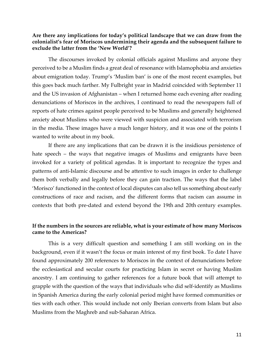#### **Are there any implications for today's political landscape that we can draw from the colonialist's fear of Moriscos undermining their agenda and the subsequent failure to exclude the latter from the 'New World'?**

The discourses invoked by colonial officials against Muslims and anyone they perceived to be a Muslim finds a great deal of resonance with Islamophobia and anxieties about emigration today. Trump's 'Muslim ban' is one of the most recent examples, but this goes back much farther. My Fulbright year in Madrid coincided with September 11 and the US invasion of Afghanistan – when I returned home each evening after reading denunciations of Moriscos in the archives, I continued to read the newspapers full of reports of hate crimes against people perceived to be Muslims and generally heightened anxiety about Muslims who were viewed with suspicion and associated with terrorism in the media. These images have a much longer history, and it was one of the points I wanted to write about in my book.

If there are any implications that can be drawn it is the insidious persistence of hate speech – the ways that negative images of Muslims and emigrants have been invoked for a variety of political agendas. It is important to recognize the types and patterns of anti-Islamic discourse and be attentive to such images in order to challenge them both verbally and legally before they can gain traction. The ways that the label 'Morisco' functioned in the context of local disputes can also tell us something about early constructions of race and racism, and the different forms that racism can assume in contexts that both pre-dated and extend beyond the 19th and 20th century examples.

## **If the numbers in the sources are reliable, what is your estimate of how many Moriscos came to the Americas?**

This is a very difficult question and something I am still working on in the background, even if it wasn't the focus or main interest of my first book. To date I have found approximately 200 references to Moriscos in the context of denunciations before the ecclesiastical and secular courts for practicing Islam in secret or having Muslim ancestry. I am continuing to gather references for a future book that will attempt to grapple with the question of the ways that individuals who did self-identify as Muslims in Spanish America during the early colonial period might have formed communities or ties with each other. This would include not only Iberian converts from Islam but also Muslims from the Maghreb and sub-Saharan Africa.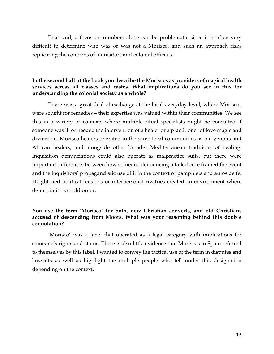That said, a focus on numbers alone can be problematic since it is often very difficult to determine who was or was not a Morisco, and such an approach risks replicating the concerns of inquisitors and colonial officials.

# **In the second half of the book you describe the Moriscos as providers of magical health services across all classes and castes. What implications do you see in this for understanding the colonial society as a whole?**

There was a great deal of exchange at the local everyday level, where Moriscos were sought for remedies – their expertise was valued within their communities. We see this in a variety of contexts where multiple ritual specialists might be consulted if someone was ill or needed the intervention of a healer or a practitioner of love magic and divination. Morisco healers operated in the same local communities as indigenous and African healers, and alongside other broader Mediterranean traditions of healing. Inquisition denunciations could also operate as malpractice suits, but there were important differences between how someone denouncing a failed cure framed the event and the inquisitors' propagandistic use of it in the context of pamphlets and autos de fe. Heightened political tensions or interpersonal rivalries created an environment where denunciations could occur.

# **You use the term 'Morisco' for both, new Christian converts, and old Christians accused of descending from Moors. What was your reasoning behind this double connotation?**

'Morisco' was a label that operated as a legal category with implications for someone's rights and status. There is also little evidence that Moriscos in Spain referred to themselves by this label. I wanted to convey the tactical use of the term in disputes and lawsuits as well as highlight the multiple people who fell under this designation depending on the context.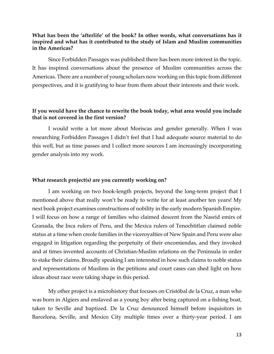## **What has been the 'afterlife' of the book? In other words, what conversations has it inspired and what has it contributed to the study of Islam and Muslim communities in the Americas?**

Since Forbidden Passages was published there has been more interest in the topic. It has inspired conversations about the presence of Muslim communities across the Americas. There are a number of young scholars now working on this topic from different perspectives, and it is gratifying to hear from them about their interests and their work.

# **If you would have the chance to rewrite the book today, what area would you include that is not covered in the first version?**

I would write a lot more about Moriscas and gender generally. When I was researching Forbidden Passages I didn't feel that I had adequate source material to do this well, but as time passes and I collect more sources I am increasingly incorporating gender analysis into my work.

#### **What research project(s) are you currently working on?**

I am working on two book-length projects, beyond the long-term project that I mentioned above that really won't be ready to write for at least another ten years! My next book project examines constructions of nobility in the early modern Spanish Empire. I will focus on how a range of families who claimed descent from the Nasrid emirs of Granada, the Inca rulers of Peru, and the Mexica rulers of Tenochtitlan claimed noble status at a time when creole families in the viceroyalties of New Spain and Peru were also engaged in litigation regarding the perpetuity of their encomiendas, and they invoked and at times invented accounts of Christian-Muslim relations on the Peninsula in order to stake their claims. Broadly speaking I am interested in how such claims to noble status and representations of Muslims in the petitions and court cases can shed light on how ideas about race were taking shape in this period.

My other project is a microhistory that focuses on Cristóbal de la Cruz, a man who was born in Algiers and enslaved as a young boy after being captured on a fishing boat, taken to Seville and baptized. De la Cruz denounced himself before inquisitors in Barcelona, Seville, and Mexico City multiple times over a thirty-year period. I am